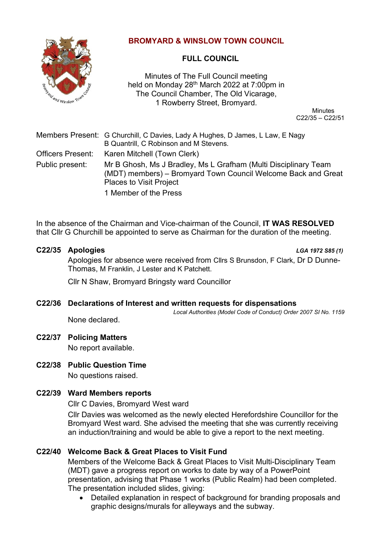

# **BROMYARD & WINSLOW TOWN COUNCIL**

# **FULL COUNCIL**

Minutes of The Full Council meeting held on Monday 28<sup>th</sup> March 2022 at 7:00pm in The Council Chamber, The Old Vicarage, 1 Rowberry Street, Bromyard.

**Minutes** C22/35 – C22/51

|                          | Members Present: G Churchill, C Davies, Lady A Hughes, D James, L Law, E Nagy<br>B Quantrill, C Robinson and M Stevens.                                            |
|--------------------------|--------------------------------------------------------------------------------------------------------------------------------------------------------------------|
| <b>Officers Present:</b> | Karen Mitchell (Town Clerk)                                                                                                                                        |
| Public present:          | Mr B Ghosh, Ms J Bradley, Ms L Grafham (Multi Disciplinary Team<br>(MDT) members) – Bromyard Town Council Welcome Back and Great<br><b>Places to Visit Project</b> |
|                          |                                                                                                                                                                    |

1 Member of the Press

In the absence of the Chairman and Vice-chairman of the Council, **IT WAS RESOLVED** that Cllr G Churchill be appointed to serve as Chairman for the duration of the meeting.

# **C22/35 Apologies** *LGA 1972 S85 (1)*

Apologies for absence were received from Cllrs S Brunsdon, F Clark, Dr D Dunne-Thomas, M Franklin, J Lester and K Patchett.

Cllr N Shaw, Bromyard Bringsty ward Councillor

# **C22/36 Declarations of Interest and written requests for dispensations**

*Local Authorities (Model Code of Conduct) Order 2007 SI No. 1159*

None declared.

# **C22/37 Policing Matters**

No report available.

# **C22/38 Public Question Time**

No questions raised.

# **C22/39 Ward Members reports**

Cllr C Davies, Bromyard West ward

Cllr Davies was welcomed as the newly elected Herefordshire Councillor for the Bromyard West ward. She advised the meeting that she was currently receiving an induction/training and would be able to give a report to the next meeting.

# **C22/40 Welcome Back & Great Places to Visit Fund**

Members of the Welcome Back & Great Places to Visit Multi-Disciplinary Team (MDT) gave a progress report on works to date by way of a PowerPoint presentation, advising that Phase 1 works (Public Realm) had been completed. The presentation included slides, giving:

• Detailed explanation in respect of background for branding proposals and graphic designs/murals for alleyways and the subway.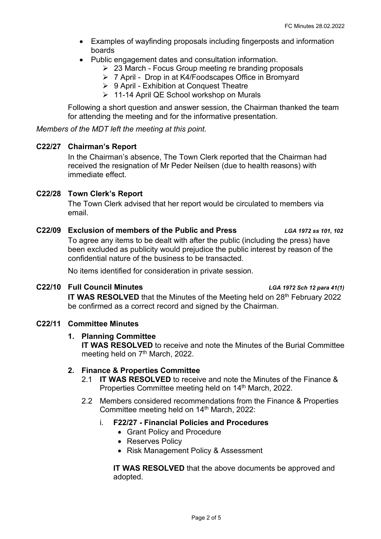- Examples of wayfinding proposals including fingerposts and information boards
- Public engagement dates and consultation information.
	- ➢ 23 March Focus Group meeting re branding proposals
	- ➢ 7 April Drop in at K4/Foodscapes Office in Bromyard
	- ➢ 9 April Exhibition at Conquest Theatre
	- ➢ 11-14 April QE School workshop on Murals

Following a short question and answer session, the Chairman thanked the team for attending the meeting and for the informative presentation.

*Members of the MDT left the meeting at this point.*

#### **C22/27 Chairman's Report**

In the Chairman's absence, The Town Clerk reported that the Chairman had received the resignation of Mr Peder Neilsen (due to health reasons) with immediate effect.

# **C22/28 Town Clerk's Report**

The Town Clerk advised that her report would be circulated to members via email.

#### **C22/09 Exclusion of members of the Public and Press** *LGA 1972 ss 101, 102*

To agree any items to be dealt with after the public (including the press) have been excluded as publicity would prejudice the public interest by reason of the confidential nature of the business to be transacted.

No items identified for consideration in private session.

#### **C22/10 Full Council Minutes** *LGA 1972 Sch 12 para 41(1)*

**IT WAS RESOLVED** that the Minutes of the Meeting held on 28<sup>th</sup> February 2022 be confirmed as a correct record and signed by the Chairman.

# **C22/11 Committee Minutes**

#### **1. Planning Committee**

**IT WAS RESOLVED** to receive and note the Minutes of the Burial Committee meeting held on 7<sup>th</sup> March, 2022.

#### **2. Finance & Properties Committee**

- 2.1 **IT WAS RESOLVED** to receive and note the Minutes of the Finance & Properties Committee meeting held on 14<sup>th</sup> March, 2022.
- 2.2 Members considered recommendations from the Finance & Properties Committee meeting held on 14<sup>th</sup> March, 2022:

#### i. **F22/27 - Financial Policies and Procedures**

- Grant Policy and Procedure
- Reserves Policy
- Risk Management Policy & Assessment

**IT WAS RESOLVED** that the above documents be approved and adopted.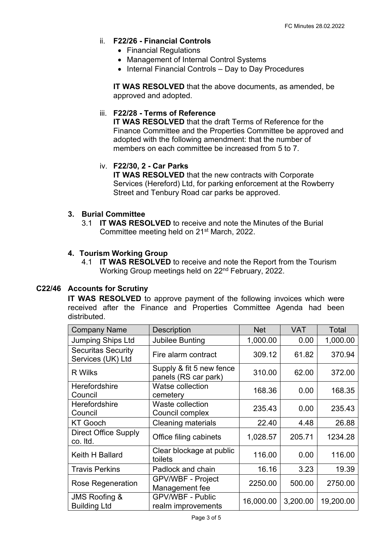# ii. **F22/26 - Financial Controls**

- Financial Regulations
- Management of Internal Control Systems
- Internal Financial Controls Day to Day Procedures

**IT WAS RESOLVED** that the above documents, as amended, be approved and adopted.

### iii. **F22/28 - Terms of Reference**

**IT WAS RESOLVED** that the draft Terms of Reference for the Finance Committee and the Properties Committee be approved and adopted with the following amendment: that the number of members on each committee be increased from 5 to 7.

### iv. **F22/30, 2 - Car Parks**

**IT WAS RESOLVED** that the new contracts with Corporate Services (Hereford) Ltd, for parking enforcement at the Rowberry Street and Tenbury Road car parks be approved.

#### **3. Burial Committee**

3.1 **IT WAS RESOLVED** to receive and note the Minutes of the Burial Committee meeting held on 21st March, 2022.

#### **4. Tourism Working Group**

4.1 **IT WAS RESOLVED** to receive and note the Report from the Tourism Working Group meetings held on 22nd February, 2022.

# **C22/46 Accounts for Scrutiny**

**IT WAS RESOLVED** to approve payment of the following invoices which were received after the Finance and Properties Committee Agenda had been distributed.

| <b>Company Name</b>                             | <b>Description</b>                               | <b>Net</b> | <b>VAT</b> | Total     |
|-------------------------------------------------|--------------------------------------------------|------------|------------|-----------|
| <b>Jumping Ships Ltd</b>                        | <b>Jubilee Bunting</b>                           | 1,000.00   | 0.00       | 1,000.00  |
| <b>Securitas Security</b><br>Services (UK) Ltd  | Fire alarm contract                              | 309.12     | 61.82      | 370.94    |
| <b>R</b> Wilks                                  | Supply & fit 5 new fence<br>panels (RS car park) | 310.00     | 62.00      | 372.00    |
| Herefordshire<br>Council                        | <b>Watse collection</b><br>cemetery              | 168.36     | 0.00       | 168.35    |
| Herefordshire<br>Council                        | Waste collection<br>Council complex              | 235.43     | 0.00       | 235.43    |
| <b>KT Gooch</b>                                 | <b>Cleaning materials</b>                        | 22.40      | 4.48       | 26.88     |
| <b>Direct Office Supply</b><br>co. Itd.         | Office filing cabinets                           | 1,028.57   | 205.71     | 1234.28   |
| Keith H Ballard                                 | Clear blockage at public<br>toilets              | 116.00     | 0.00       | 116.00    |
| <b>Travis Perkins</b>                           | Padlock and chain                                | 16.16      | 3.23       | 19.39     |
| <b>Rose Regeneration</b>                        | GPV/WBF - Project<br>Management fee              | 2250.00    | 500.00     | 2750.00   |
| <b>JMS Roofing &amp;</b><br><b>Building Ltd</b> | <b>GPV/WBF - Public</b><br>realm improvements    | 16,000.00  | 3,200.00   | 19,200.00 |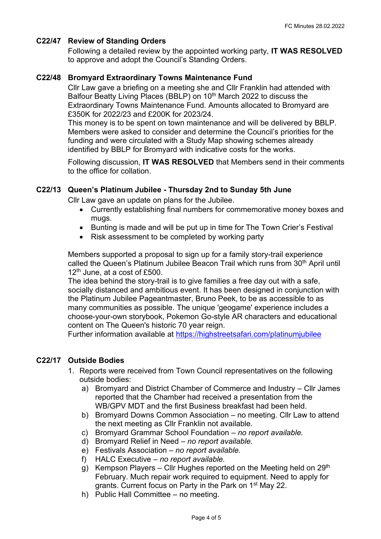# **C22/47 Review of Standing Orders**

Following a detailed review by the appointed working party, **IT WAS RESOLVED** to approve and adopt the Council's Standing Orders.

## **C22/48 Bromyard Extraordinary Towns Maintenance Fund**

Cllr Law gave a briefing on a meeting she and Cllr Franklin had attended with Balfour Beatty Living Places (BBLP) on 10<sup>th</sup> March 2022 to discuss the Extraordinary Towns Maintenance Fund. Amounts allocated to Bromyard are £350K for 2022/23 and £200K for 2023/24.

This money is to be spent on town maintenance and will be delivered by BBLP. Members were asked to consider and determine the Council's priorities for the funding and were circulated with a Study Map showing schemes already identified by BBLP for Bromyard with indicative costs for the works.

Following discussion, **IT WAS RESOLVED** that Members send in their comments to the office for collation.

#### **C22/13 Queen's Platinum Jubilee - Thursday 2nd to Sunday 5th June**

Cllr Law gave an update on plans for the Jubilee.

- Currently establishing final numbers for commemorative money boxes and mugs.
- Bunting is made and will be put up in time for The Town Crier's Festival
- Risk assessment to be completed by working party

Members supported a proposal to sign up for a family story-trail experience called the Queen's Platinum Jubilee Beacon Trail which runs from 30<sup>th</sup> April until  $12<sup>th</sup>$  June, at a cost of £500.

The idea behind the story-trail is to give families a free day out with a safe, socially distanced and ambitious event. It has been designed in conjunction with the Platinum Jubilee Pageantmaster, Bruno Peek, to be as accessible to as many communities as possible. The unique 'geogame' experience includes a choose-your-own storybook, Pokemon Go-style AR characters and educational content on The Queen's historic 70 year reign.

Further information available at<https://highstreetsafari.com/platinumjubilee>

### **C22/17 Outside Bodies**

- 1. Reports were received from Town Council representatives on the following outside bodies:
	- a) Bromyard and District Chamber of Commerce and Industry Cllr James reported that the Chamber had received a presentation from the WB/GPV MDT and the first Business breakfast had been held.
	- b) Bromyard Downs Common Association no meeting. Cllr Law to attend the next meeting as Cllr Franklin not available.
	- c) Bromyard Grammar School Foundation *no report available.*
	- d) Bromyard Relief in Need *no report available.*
	- e) Festivals Association *no report available.*
	- f) HALC Executive *no report available.*
	- g) Kempson Players Cllr Hughes reported on the Meeting held on  $29<sup>th</sup>$ February. Much repair work required to equipment. Need to apply for grants. Current focus on Party in the Park on 1<sup>st</sup> May 22.
	- h) Public Hall Committee no meeting.